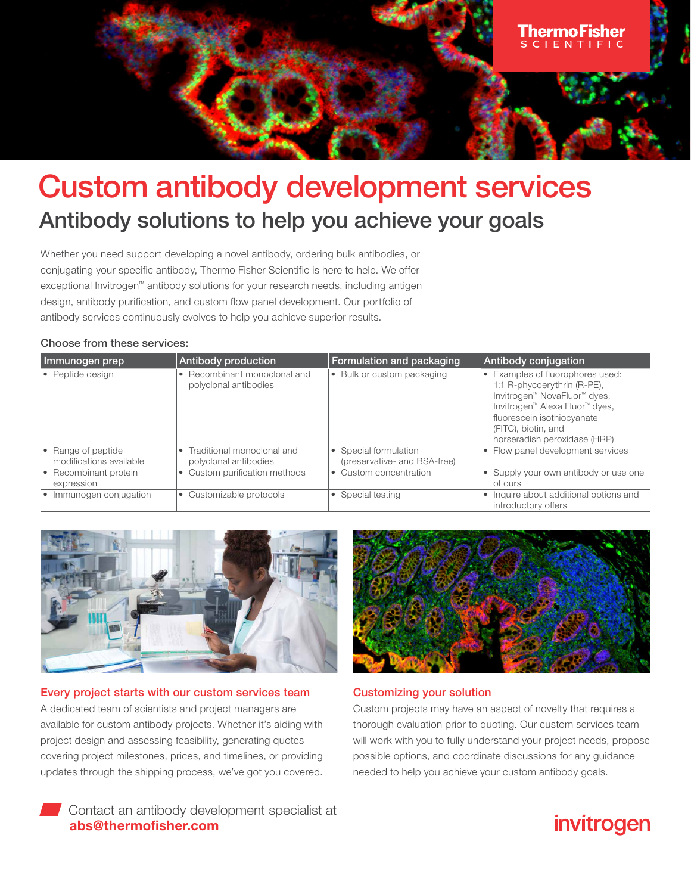

# Custom antibody development services Antibody solutions to help you achieve your goals

Whether you need support developing a novel antibody, ordering bulk antibodies, or conjugating your specific antibody, Thermo Fisher Scientific is here to help. We offer exceptional Invitrogen™ antibody solutions for your research needs, including antigen design, antibody purification, and custom flow panel development. Our portfolio of antibody services continuously evolves to help you achieve superior results.

#### Choose from these services:

| Immunogen prep                                | Antibody production                                   | Formulation and packaging                             | Antibody conjugation                                                                                                                                                                                                   |
|-----------------------------------------------|-------------------------------------------------------|-------------------------------------------------------|------------------------------------------------------------------------------------------------------------------------------------------------------------------------------------------------------------------------|
| • Peptide design                              | • Recombinant monoclonal and<br>polyclonal antibodies | • Bulk or custom packaging                            | • Examples of fluorophores used:<br>1:1 R-phycoerythrin (R-PE),<br>Invitrogen™ NovaFluor™ dyes,<br>Invitrogen™ Alexa Fluor™ dyes,<br>fluorescein isothiocyanate<br>(FITC), biotin, and<br>horseradish peroxidase (HRP) |
| • Range of peptide<br>modifications available | • Traditional monoclonal and<br>polyclonal antibodies | • Special formulation<br>(preservative- and BSA-free) | • Flow panel development services                                                                                                                                                                                      |
| • Recombinant protein<br>expression           | • Custom purification methods                         | • Custom concentration                                | • Supply your own antibody or use one<br>of ours                                                                                                                                                                       |
| • Immunogen conjugation                       | • Customizable protocols                              | • Special testing                                     | • Inquire about additional options and<br>introductory offers                                                                                                                                                          |



Every project starts with our custom services team A dedicated team of scientists and project managers are available for custom antibody projects. Whether it's aiding with project design and assessing feasibility, generating quotes covering project milestones, prices, and timelines, or providing updates through the shipping process, we've got you covered.

Contact an antibody development specialist at [abs@thermofisher.com](mailto:abs%40thermofisher.com?subject=)



#### Customizing your solution

Custom projects may have an aspect of novelty that requires a thorough evaluation prior to quoting. Our custom services team will work with you to fully understand your project needs, propose possible options, and coordinate discussions for any guidance needed to help you achieve your custom antibody goals.

## invitrogen